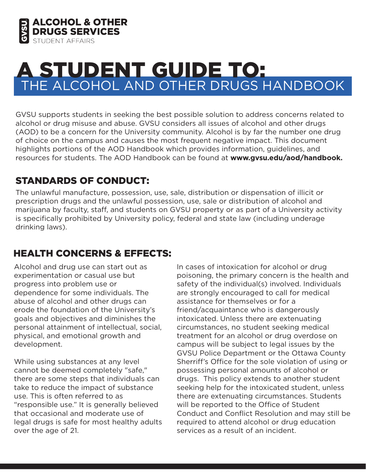

# THE ALCOHOL AND OTHER DRUGS HANDBOOK A STUDENT GUIDE TO:

GVSU supports students in seeking the best possible solution to address concerns related to alcohol or drug misuse and abuse. GVSU considers all issues of alcohol and other drugs (AOD) to be a concern for the University community. Alcohol is by far the number one drug of choice on the campus and causes the most frequent negative impact. This document highlights portions of the AOD Handbook which provides information, guidelines, and resources for students. The AOD Handbook can be found at **www.gvsu.edu/aod/handbook.**

#### STANDARDS OF CONDUCT:

The unlawful manufacture, possession, use, sale, distribution or dispensation of illicit or prescription drugs and the unlawful possession, use, sale or distribution of alcohol and marijuana by faculty, staff, and students on GVSU property or as part of a University activity is specifically prohibited by University policy, federal and state law (including underage drinking laws).

## HEALTH CONCERNS & EFFECTS:

Alcohol and drug use can start out as experimentation or casual use but progress into problem use or dependence for some individuals. The abuse of alcohol and other drugs can erode the foundation of the University's goals and objectives and diminishes the personal attainment of intellectual, social, physical, and emotional growth and development.

While using substances at any level cannot be deemed completely "safe," there are some steps that individuals can take to reduce the impact of substance use. This is often referred to as "responsible use." It is generally believed that occasional and moderate use of legal drugs is safe for most healthy adults over the age of 21.

In cases of intoxication for alcohol or drug poisoning, the primary concern is the health and safety of the individual(s) involved. Individuals are strongly encouraged to call for medical assistance for themselves or for a friend/acquaintance who is dangerously intoxicated. Unless there are extenuating circumstances, no student seeking medical treatment for an alcohol or drug overdose on campus will be subject to legal issues by the GVSU Police Department or the Ottawa County Sherriff's Office for the sole violation of using or possessing personal amounts of alcohol or drugs. This policy extends to another student seeking help for the intoxicated student, unless there are extenuating circumstances. Students will be reported to the Office of Student Conduct and Conflict Resolution and may still be required to attend alcohol or drug education services as a result of an incident.